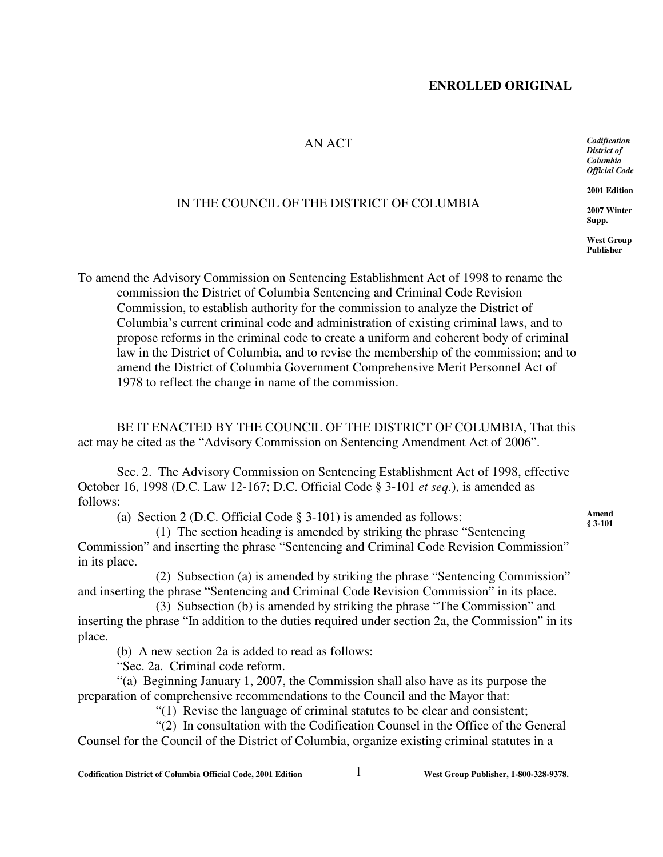## **ENROLLED ORIGINAL**

## AN ACT

 $\overline{a}$ 

 $\overline{a}$ 

## IN THE COUNCIL OF THE DISTRICT OF COLUMBIA

*Codification District of Columbia Official Code*

**2001 Edition**

**2007 Winter Supp.**

**West Group Publisher**

**Amend § 3-101**

To amend the Advisory Commission on Sentencing Establishment Act of 1998 to rename the commission the District of Columbia Sentencing and Criminal Code Revision Commission, to establish authority for the commission to analyze the District of Columbia's current criminal code and administration of existing criminal laws, and to propose reforms in the criminal code to create a uniform and coherent body of criminal law in the District of Columbia, and to revise the membership of the commission; and to amend the District of Columbia Government Comprehensive Merit Personnel Act of 1978 to reflect the change in name of the commission.

BE IT ENACTED BY THE COUNCIL OF THE DISTRICT OF COLUMBIA, That this act may be cited as the "Advisory Commission on Sentencing Amendment Act of 2006".

Sec. 2. The Advisory Commission on Sentencing Establishment Act of 1998, effective October 16, 1998 (D.C. Law 12-167; D.C. Official Code § 3-101 *et seq.*), is amended as follows:

(a) Section 2 (D.C. Official Code § 3-101) is amended as follows:

(1) The section heading is amended by striking the phrase "Sentencing Commission" and inserting the phrase "Sentencing and Criminal Code Revision Commission" in its place.

(2) Subsection (a) is amended by striking the phrase "Sentencing Commission" and inserting the phrase "Sentencing and Criminal Code Revision Commission" in its place.

(3) Subsection (b) is amended by striking the phrase "The Commission" and inserting the phrase "In addition to the duties required under section 2a, the Commission" in its place.

(b) A new section 2a is added to read as follows:

"Sec. 2a. Criminal code reform.

"(a) Beginning January 1, 2007, the Commission shall also have as its purpose the preparation of comprehensive recommendations to the Council and the Mayor that:

"(1) Revise the language of criminal statutes to be clear and consistent;

"(2) In consultation with the Codification Counsel in the Office of the General Counsel for the Council of the District of Columbia, organize existing criminal statutes in a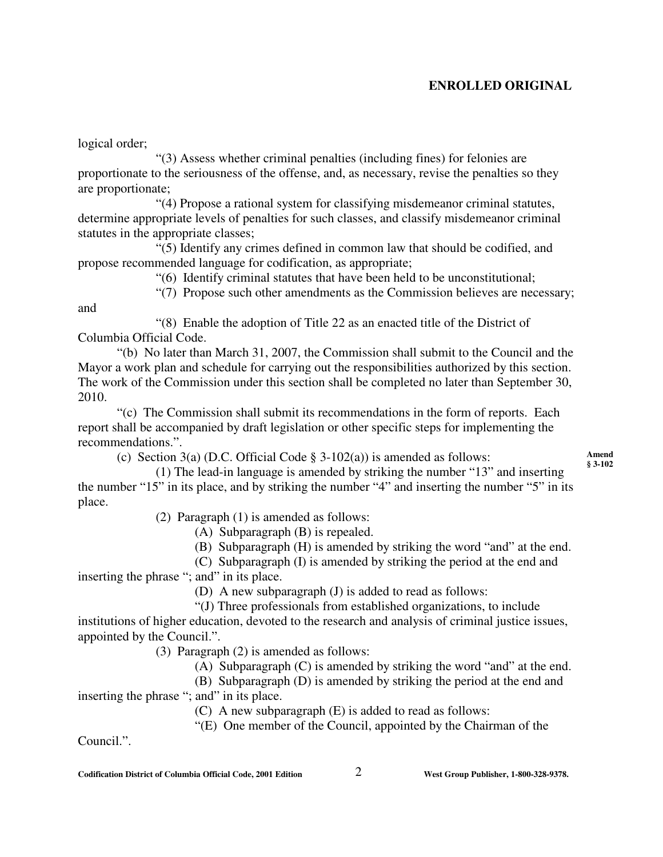# **ENROLLED ORIGINAL**

logical order;

"(3) Assess whether criminal penalties (including fines) for felonies are proportionate to the seriousness of the offense, and, as necessary, revise the penalties so they are proportionate;

"(4) Propose a rational system for classifying misdemeanor criminal statutes, determine appropriate levels of penalties for such classes, and classify misdemeanor criminal statutes in the appropriate classes;

"(5) Identify any crimes defined in common law that should be codified, and propose recommended language for codification, as appropriate;

"(6) Identify criminal statutes that have been held to be unconstitutional;

"(7) Propose such other amendments as the Commission believes are necessary;

and

"(8) Enable the adoption of Title 22 as an enacted title of the District of Columbia Official Code.

"(b) No later than March 31, 2007, the Commission shall submit to the Council and the Mayor a work plan and schedule for carrying out the responsibilities authorized by this section. The work of the Commission under this section shall be completed no later than September 30, 2010.

"(c) The Commission shall submit its recommendations in the form of reports. Each report shall be accompanied by draft legislation or other specific steps for implementing the recommendations.".

(c) Section 3(a) (D.C. Official Code  $\S$  3-102(a)) is amended as follows:

**Amend § 3-102**

(1) The lead-in language is amended by striking the number "13" and inserting the number "15" in its place, and by striking the number "4" and inserting the number "5" in its place.

(2) Paragraph (1) is amended as follows:

(A) Subparagraph (B) is repealed.

(B) Subparagraph (H) is amended by striking the word "and" at the end.

(C) Subparagraph (I) is amended by striking the period at the end and

inserting the phrase "; and" in its place.

(D) A new subparagraph (J) is added to read as follows:

"(J) Three professionals from established organizations, to include institutions of higher education, devoted to the research and analysis of criminal justice issues, appointed by the Council.".

(3) Paragraph (2) is amended as follows:

(A) Subparagraph (C) is amended by striking the word "and" at the end.

(B) Subparagraph (D) is amended by striking the period at the end and inserting the phrase "; and" in its place.

(C) A new subparagraph (E) is added to read as follows:

"(E) One member of the Council, appointed by the Chairman of the

Council.".